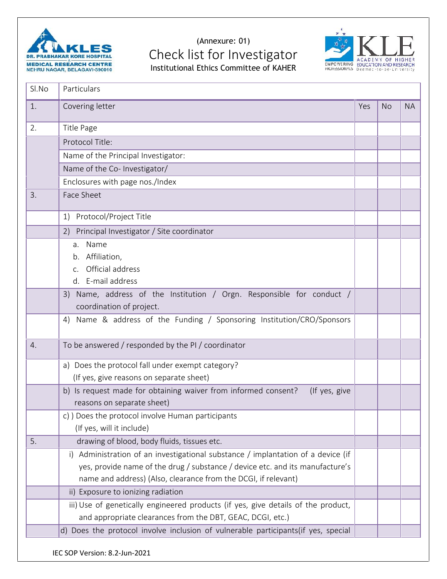

## (Annexure: 01) **Check list for Investigator**<br>Institutional Ethics Committee of KAHER<br>ACADEMY OF HIGHER INSTITUTION AND RESEARCH Institutional Ethics Committee of KAHER



| 1. | Covering letter                                                                                               | Yes | <b>No</b> | <b>NA</b> |
|----|---------------------------------------------------------------------------------------------------------------|-----|-----------|-----------|
|    |                                                                                                               |     |           |           |
| 2. | Title Page                                                                                                    |     |           |           |
|    | Protocol Title:                                                                                               |     |           |           |
|    | Name of the Principal Investigator:                                                                           |     |           |           |
|    | Name of the Co- Investigator/                                                                                 |     |           |           |
|    | Enclosures with page nos./Index                                                                               |     |           |           |
| 3. | Face Sheet                                                                                                    |     |           |           |
|    | Protocol/Project Title<br>1)                                                                                  |     |           |           |
|    | 2) Principal Investigator / Site coordinator                                                                  |     |           |           |
|    | a. Name                                                                                                       |     |           |           |
|    | b. Affiliation,                                                                                               |     |           |           |
|    | Official address<br>$C_{\rm{m}}$                                                                              |     |           |           |
|    | d. E-mail address                                                                                             |     |           |           |
|    | 3) Name, address of the Institution / Orgn. Responsible for conduct /                                         |     |           |           |
|    | coordination of project.                                                                                      |     |           |           |
|    | 4) Name & address of the Funding / Sponsoring Institution/CRO/Sponsors                                        |     |           |           |
| 4. | To be answered / responded by the PI / coordinator                                                            |     |           |           |
|    | a) Does the protocol fall under exempt category?                                                              |     |           |           |
|    | (If yes, give reasons on separate sheet)                                                                      |     |           |           |
|    | b) Is request made for obtaining waiver from informed consent?<br>(If yes, give<br>reasons on separate sheet) |     |           |           |
|    | c) ) Does the protocol involve Human participants                                                             |     |           |           |
|    | (If yes, will it include)                                                                                     |     |           |           |
| 5. | drawing of blood, body fluids, tissues etc.                                                                   |     |           |           |
|    | Administration of an investigational substance / implantation of a device (if<br>i)                           |     |           |           |
|    | yes, provide name of the drug / substance / device etc. and its manufacture's                                 |     |           |           |
|    | name and address) (Also, clearance from the DCGI, if relevant)                                                |     |           |           |
|    | ii) Exposure to ionizing radiation                                                                            |     |           |           |
|    | iii) Use of genetically engineered products (if yes, give details of the product,                             |     |           |           |
|    | and appropriate clearances from the DBT, GEAC, DCGI, etc.)                                                    |     |           |           |
|    | d) Does the protocol involve inclusion of vulnerable participants(if yes, special                             |     |           |           |

IEC SOP Version: 8.2-Jun-2021